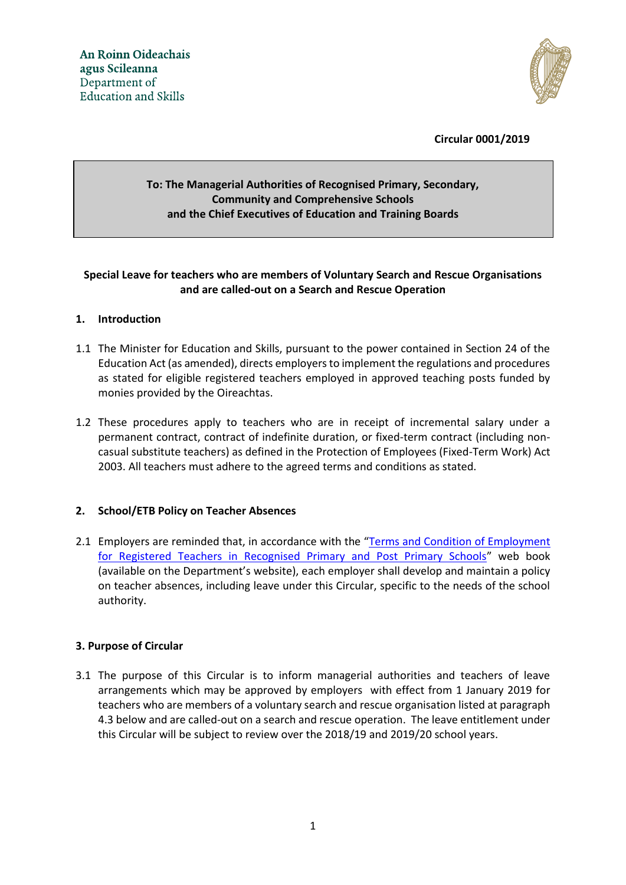

**Circular 0001/2019**

# **To: The Managerial Authorities of Recognised Primary, Secondary, Community and Comprehensive Schools and the Chief Executives of Education and Training Boards**

## **Special Leave for teachers who are members of Voluntary Search and Rescue Organisations and are called-out on a Search and Rescue Operation**

### **1. Introduction**

- 1.1 The Minister for Education and Skills, pursuant to the power contained in Section 24 of the Education Act (as amended), directs employers to implement the regulations and procedures as stated for eligible registered teachers employed in approved teaching posts funded by monies provided by the Oireachtas.
- permanent contract, contract of indefinite duration, or fixed-term contract (including non-1.2 These procedures apply to teachers who are in receipt of incremental salary under a casual substitute teachers) as defined in the Protection of Employees (Fixed-Term Work) Act 2003. All teachers must adhere to the agreed terms and conditions as stated.

### **2. School/ETB Policy on Teacher Absences**

2.1 Employers are reminded that, in accordance with the "[Terms and Condition of Employment](https://www.education.ie/en/Education-Staff/Services/Breaks-Leave/Terms-and-Conditions-of-Employment-for-Registered-Teachers-in-Recognised-Primary-and-Post-Primary-Schools.pdf)  [for Registered Teachers in Recognised Primary and Post Primary Schools](https://www.education.ie/en/Education-Staff/Services/Breaks-Leave/Terms-and-Conditions-of-Employment-for-Registered-Teachers-in-Recognised-Primary-and-Post-Primary-Schools.pdf)" web book (available on the Department's website), each employer shall develop and maintain a policy on teacher absences, including leave under this Circular, specific to the needs of the school authority.

#### **3. Purpose of Circular**

3.1 The purpose of this Circular is to inform managerial authorities and teachers of leave arrangements which may be approved by employers with effect from 1 January 2019 for teachers who are members of a voluntary search and rescue organisation listed at paragraph 4.3 below and are called-out on a search and rescue operation. The leave entitlement under this Circular will be subject to review over the 2018/19 and 2019/20 school years.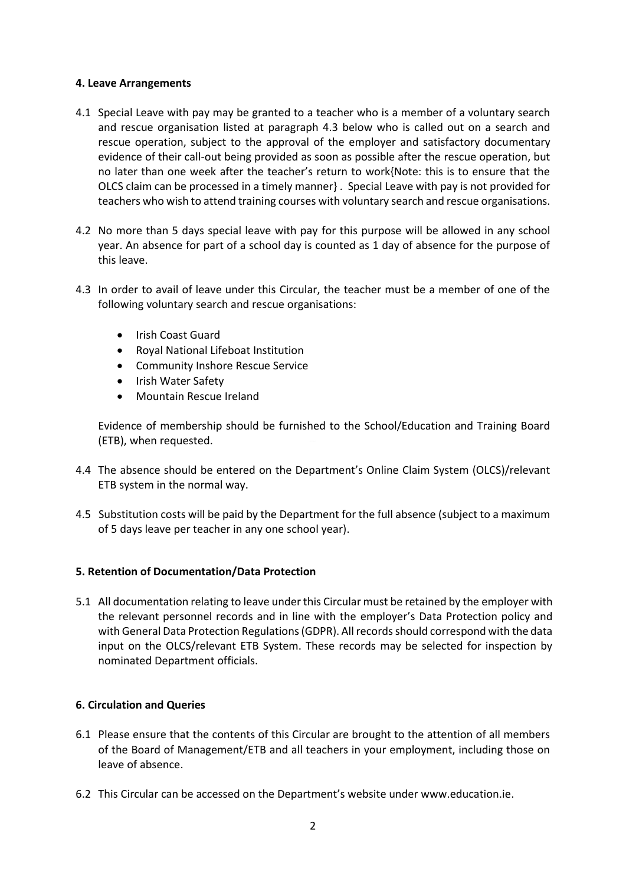### **4. Leave Arrangements**

- 4.1 Special Leave with pay may be granted to a teacher who is a member of a voluntary search and rescue organisation listed at paragraph 4.3 below who is called out on a search and rescue operation, subject to the approval of the employer and satisfactory documentary evidence of their call-out being provided as soon as possible after the rescue operation, but no later than one week after the teacher's return to work{Note: this is to ensure that the OLCS claim can be processed in a timely manner} . Special Leave with pay is not provided for teachers who wish to attend training courses with voluntary search and rescue organisations.
- 4.2 No more than 5 days special leave with pay for this purpose will be allowed in any school year. An absence for part of a school day is counted as 1 day of absence for the purpose of this leave.
- 4.3 In order to avail of leave under this Circular, the teacher must be a member of one of the following voluntary search and rescue organisations:
	- Irish Coast Guard
	- Royal National Lifeboat Institution
	- Community Inshore Rescue Service
	- Irish Water Safety
	- Mountain Rescue Ireland

Evidence of membership should be furnished to the School/Education and Training Board (ETB), when requested.

- 4.4 The absence should be entered on the Department's Online Claim System (OLCS)/relevant ETB system in the normal way.
- 4.5 Substitution costs will be paid by the Department for the full absence (subject to a maximum of 5 days leave per teacher in any one school year).

### **5. Retention of Documentation/Data Protection**

5.1 All documentation relating to leave under this Circular must be retained by the employer with the relevant personnel records and in line with the employer's Data Protection policy and with General Data Protection Regulations (GDPR). All records should correspond with the data input on the OLCS/relevant ETB System. These records may be selected for inspection by nominated Department officials.

### **6. Circulation and Queries**

- 6.1 Please ensure that the contents of this Circular are brought to the attention of all members of the Board of Management/ETB and all teachers in your employment, including those on leave of absence.
- 6.2 This Circular can be accessed on the Department's website under www.education.ie.